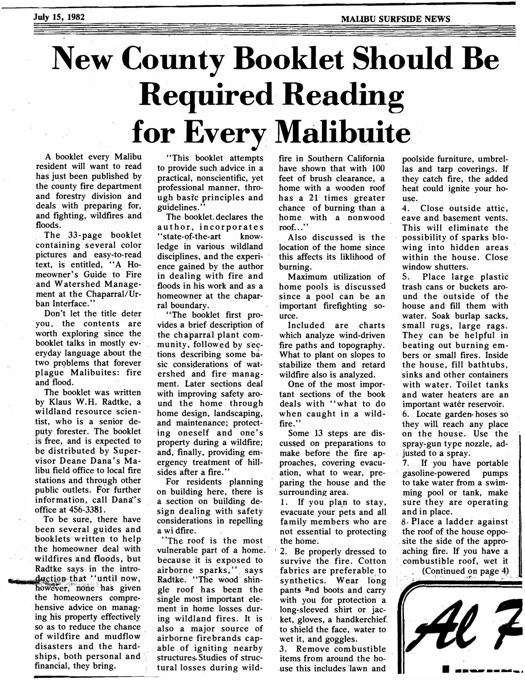## New County Booklet Should Be Required Reading for Every Malibuite

A booklet every Malibu resident will want to read has just been published by the county fire department and forestry division and deals with preparing for, and fighting, wildfires and floods.

The 33-page booklet containing several color pictures and easy-to-read text, is entitled, ''A Homeowner's Guide to Fire and Watershed Management at the Chaparral/Urban Interface."

Don't let the title deter you, the contents are worth exploring since the booklet talks in mostly everyday language about the two problems that forever plague Malibuites: fire and flood.

The booklet was written by Klaus W.H. Radtke, a wildland resource scientist, who is a senior deputy· forester. The booklet is free, and is expected to be distributed by Supervisor Deane Dana's Malibu field office to local fire stations and through other public outlets. For further information, call Dana's office at 456-3381.

To be sure, there have been several guides and booklets written to help the homeowner deal with . wildfires and flopds, but Radtke says in the intro duction that "until now, however, none has given the homeowners comprehensive advice on managing his property effectively so as to reduce the chance of wildfire and mudflow disasters and the hardships, both personal and financial, they bring.

"This booklet attempts to provide such advice in a practical, nonscientific, yet professional manner, through basic principles and guidelines."

The booklet. declares the author, incorporates "state-of-the-art knowledge in various wildland disciplines, and the experience gained by the author in dealing with fire and floods in his work and as a homeowner at the chaparral boundary.

"The booklet first provides a brief description of the chaparral plant community, followed by sections describing some basic considerations of watershed and fire managment. Later sections deal with improving safety around the home through home design, landscaping, and maintenance; protecting oneself and one's property during a wildfire; and, finally, providing emergency treatment of hillsides after a fire."

For residents planning on building here, there is a section on building design dealing with safety considerations in repelling a wi dfire.

"The roof is the most vulnerable part of a home. because it is exposed to airborne sparks," says Radtke. "The wood shingle roof has been the single most important element in home losses during wildland fires. It is also a major source of airborne firebrands capable of igniting nearby structures. Studies of structural losses during wild-

fire in Southern California have shown that with 100 feet of brush clearance, a home with a wooden roof has a 21 times greater chance of burning than a home with a nonwood roof...'

Also discussed is the location of the home since this affects its liklihood of burning.

Maximum utilization of home pools is discussed since a pool can be an important firefighting source.

Included are charts which analyze wind-driven fire paths and topography. What to plant on slopes to stabilize them and retard wildfire also is analyzed.

One of the most important sections of the book deals with "what to do when caught in a wildfire."

Some 13 steps are discussed on preparations to make before the fire approaches, covering evacuation, what to wear, preparing the house and the surrounding area.

1. If you plan to stay, evacuate your pets and all family members who are not essential to protecting the home.

2. Be properly dressed to survive the fire. Cotton fabrics are preferable to synthetics. Wear long pants and boots and carry with you for protection a long-sleeved shirt or jacket, gloves, a handkerchief to shield the face, water to wet it, and goggles.

3. Remove com�ustible items from around the ho .use this includes 'lawn and

poolside furniture, umbrellas and tarp coverings. If they catch fire, the added heat could ignite your house.

4. Close outside attic, eave and basement vents. This will eliminate the possibility of sparks blowing into hidden areas within the house. Close window shutters.

5. Place large plastic trash cans or buckets around the outside of the house and fill them with water. Soak burlap sacks, small rugs, large rags. They can be helpful in beating out burning embers or small fires. Inside the house, fill bathtubs, sinks and other containers with water. Toilet tanks and water heaters are an important watér reservoir. 6. Locate garden- hoses so they will reach any place on the house. Use the spray-gun type nozzle, adjusted to a spray.

7. If you have portable gasoline-powered pumps to take water from a swimming pool or tank, make sure they are operating and in place.

 $8.$  Place a ladder against the roof of the house oppo- · site the side of the appro-\_aching fire: If you have a \_combustible roof, wet it : (Continued on page 4)

. ·. -. ·>'1':,.•. ··�. • -�c- -��-: ·\_ . ., ·,

,· {•·,  $\cdot$   $\cdot$   $\cdot$  $-2$  .

- --�----...